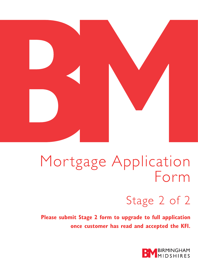

# Mortgage Application<br>Form

# Stage 2 of 2 Stage 2 of 2

**Please submit Stage 2 form to upgrade to full application once customer has read and accepted the KFI.** 

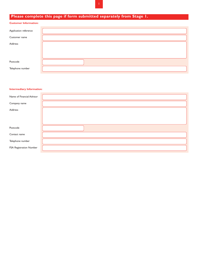# **Please complete this page if form submitted separately from Stage 1.**

| <b>Customer Information:</b> |  |
|------------------------------|--|
| Application reference        |  |
| Customer name                |  |
| Address                      |  |
|                              |  |
|                              |  |
| Postcode                     |  |
| Telephone number             |  |

#### **Intermediary Information:**

| Name of Financial Advisor |  |
|---------------------------|--|
| Company name              |  |
| Address                   |  |
|                           |  |
|                           |  |
| Postcode                  |  |
| Contact name              |  |
| Telephone number          |  |
| FSA Registration Number   |  |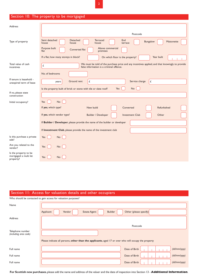| Section 10: The property to be mortgaged                    |                                                                                                                                                  |  |  |
|-------------------------------------------------------------|--------------------------------------------------------------------------------------------------------------------------------------------------|--|--|
| Address                                                     |                                                                                                                                                  |  |  |
|                                                             | Postcode                                                                                                                                         |  |  |
| Type of property                                            | Semi detached<br>Detached<br><b>Terraced</b><br>End<br><b>Bungalow</b><br>Maisonette<br>house<br>house<br>house<br>terrace                       |  |  |
|                                                             | Purpose built<br>Above commercial<br>Converted flat<br>flat<br>premises                                                                          |  |  |
|                                                             | On which floor is the property?<br>Year built<br>If a flat, how many storeys in block?                                                           |  |  |
| Total value of cash<br>incentives                           | We must be told of the purchase price and any incentives applied, and that knowingly to provide<br>£<br>false information is a criminal offence. |  |  |
|                                                             | No. of bedrooms                                                                                                                                  |  |  |
| If tenure is leasehold -<br>unexpired term of lease         | Ground rent<br>£<br>Service charge<br>£<br>years                                                                                                 |  |  |
|                                                             | Yes<br><b>No</b><br>Is the property built of brick or stone with tile or slate roof?                                                             |  |  |
| If no, please state<br>construction                         |                                                                                                                                                  |  |  |
| Initial occupancy?                                          | <b>No</b><br>Yes                                                                                                                                 |  |  |
|                                                             | Refurbished<br>If yes, which type?<br>New build<br>Converted                                                                                     |  |  |
|                                                             | If yes, which vendor type?<br>Builder / Developer<br><b>Investment Club</b><br>Other                                                             |  |  |
|                                                             | If Builder / Developer, please provide the name of the builder or developer                                                                      |  |  |
|                                                             | If Investment Club, please provide the name of the investment club                                                                               |  |  |
| Is this purchase a private<br>sale?                         | Yes<br><b>No</b>                                                                                                                                 |  |  |
| Are you related to the<br>vendor?                           | No<br>Yes                                                                                                                                        |  |  |
| Is the property to be<br>mortgaged a multi let<br>property? | Yes<br>No                                                                                                                                        |  |  |

#### Section 11: Access for valuation details and other occupiers

| Who should be contacted to gain access for valuation purposes? |                                                                                                      |  |  |  |
|----------------------------------------------------------------|------------------------------------------------------------------------------------------------------|--|--|--|
| Name                                                           |                                                                                                      |  |  |  |
|                                                                | Other (please specify)<br>Applicant<br><b>Estate Agent</b><br><b>Builder</b><br>Vendor               |  |  |  |
| Address                                                        |                                                                                                      |  |  |  |
|                                                                | Postcode                                                                                             |  |  |  |
| Telephone number<br>(including area code)                      |                                                                                                      |  |  |  |
|                                                                | Please indicate all persons, other than the applicants, aged 17 or over who will occupy the property |  |  |  |
| Full name                                                      | (dd/mm/yyyy)<br>Date of Birth                                                                        |  |  |  |
| Full name                                                      | (dd/mm/yyyy)<br>Date of Birth                                                                        |  |  |  |
| Full name                                                      | (dd/mm/yyyy)<br>Date of Birth                                                                        |  |  |  |

**For Scottish new purchases**, please add the name and address of the valuer and the date of inspection into Section 13 - **Additional Information**.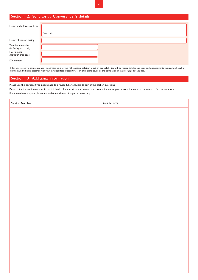# 3

### Section 12: Solicitor's / Conveyancer's details

| Name and address of firm                  |          |  |
|-------------------------------------------|----------|--|
|                                           | Postcode |  |
| Name of person acting                     |          |  |
| Telephone number<br>(including area code) |          |  |
| Fax number<br>(including area code)       |          |  |
| DX number                                 |          |  |

If for any reason we cannot use your nominated solicitor we will appoint a solicitor to act on our behalf. You will be responsible for the costs and disbursements incurred on behalf of Birmingham Midshires together with your own legal fees irrespective of an offer being issued or the completion of the mortgage taking place.

## Section 13 : Additional information

Please use this section if you need space to provide fuller answers to any of the earlier questions.

Please enter the section number in the left hand column next to your answer and draw a line under your answer if you enter responses to further questions.

If you need more space, please use additional sheets of paper as necessary.

| Section Number | Your Answer |
|----------------|-------------|
|                |             |
|                |             |
|                |             |
|                |             |
|                |             |
|                |             |
|                |             |
|                |             |
|                |             |
|                |             |
|                |             |
|                |             |
|                |             |
|                |             |
|                |             |
|                |             |
|                |             |
|                |             |
|                |             |
|                |             |
|                |             |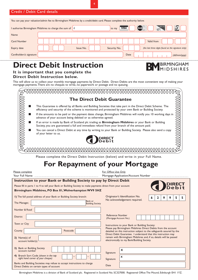### Credit / Debit Card details

| You can pay your valuation/admin fee to Birmingham Midshires by a credit/debit card. Please complete the authority below. |                                                                                                              |  |  |
|---------------------------------------------------------------------------------------------------------------------------|--------------------------------------------------------------------------------------------------------------|--|--|
|                                                                                                                           | <b>VISA</b><br>I authorise Birmingham Midshires to charge the sum of $\mathcal{L}$<br><b>Master</b><br>to my |  |  |
| Name                                                                                                                      |                                                                                                              |  |  |
| <b>Card Number</b>                                                                                                        | Valid from                                                                                                   |  |  |
| Expiry date                                                                                                               | Security No.<br>(the last three digits found on the signature strip)<br>Issue No.                            |  |  |
| Cardholders's signature                                                                                                   | Date<br>(dd/mm/yyyy)                                                                                         |  |  |
|                                                                                                                           |                                                                                                              |  |  |

4

# **Direct Debit Instruction**

# **BM**BIRMINGHAM

## **It is important that you complete the Direct Debit Instruction below.**

This will allow us to collect your monthly mortgage payments by Direct Debit. Direct Debits are the most convenient way of making your mortgage payments.There are no cheques to write, no paperwork or postage and no queuing.

|                                               | <b>The Direct Debit Guarantee</b>                                                                                                                                                                    |                                                                                                                                                                                                                                                               |  |
|-----------------------------------------------|------------------------------------------------------------------------------------------------------------------------------------------------------------------------------------------------------|---------------------------------------------------------------------------------------------------------------------------------------------------------------------------------------------------------------------------------------------------------------|--|
|                                               | efficiency and security of the scheme is monitored and protected by your own Bank or Building Society.                                                                                               | 40000000000000000000000<br>This Guarantee is offered by all Banks and Building Societies that take part in the Direct Debit Scheme. The                                                                                                                       |  |
|                                               | advance of your account being debited or as otherwise agreed.                                                                                                                                        | If the amounts to be paid or the payment dates change, Birmingham Midshires will notify you 10 working days in                                                                                                                                                |  |
|                                               | If an error is made by Bank of Scotland plc trading as Birmingham Midshires or your Bank or Building<br>Society, you are guaranteed a full and immediate refund from your branch of the amount paid. |                                                                                                                                                                                                                                                               |  |
|                                               | of your letter to us.                                                                                                                                                                                | You can cancel a Direct Debit at any time by writing to your Bank or Building Society. Please also send a copy                                                                                                                                                |  |
|                                               |                                                                                                                                                                                                      |                                                                                                                                                                                                                                                               |  |
|                                               | 000000000000000000000                                                                                                                                                                                |                                                                                                                                                                                                                                                               |  |
|                                               | Please complete the Direct Debit Instruction (below) and write in your Full Name.                                                                                                                    |                                                                                                                                                                                                                                                               |  |
|                                               | For Repayment of your Mortgage                                                                                                                                                                       |                                                                                                                                                                                                                                                               |  |
|                                               |                                                                                                                                                                                                      |                                                                                                                                                                                                                                                               |  |
| Please complete<br>Your Full Name             |                                                                                                                                                                                                      | For Office Use Only                                                                                                                                                                                                                                           |  |
|                                               |                                                                                                                                                                                                      | Mortgage Application/Account Number                                                                                                                                                                                                                           |  |
|                                               | Instruction to your Bank or Building Society to pay by Direct Debit                                                                                                                                  |                                                                                                                                                                                                                                                               |  |
|                                               | Please fill in parts 1 to 4 to tell your Bank or Building Society to make payments direct from your account                                                                                          |                                                                                                                                                                                                                                                               |  |
|                                               | Birmingham Midshires, PO Box 81, Wolverhampton WV9 5HZ                                                                                                                                               |                                                                                                                                                                                                                                                               |  |
|                                               | I) The full postal address of your Bank or Building Society branch:                                                                                                                                  | Originator's Identification No.<br>5<br>5<br>$\mathbf{2}$<br>9<br>9                                                                                                                                                                                           |  |
| The Manager,                                  | Bank or<br><b>Building Society</b>                                                                                                                                                                   | No acknowledgement required.                                                                                                                                                                                                                                  |  |
| Number & Road                                 |                                                                                                                                                                                                      |                                                                                                                                                                                                                                                               |  |
| <b>District</b>                               |                                                                                                                                                                                                      | Reference Number<br>(Mortgage Account No.)                                                                                                                                                                                                                    |  |
| Town or City                                  |                                                                                                                                                                                                      | Instructions to your Bank or Building Society:                                                                                                                                                                                                                |  |
| County                                        | Postcode                                                                                                                                                                                             | Please pay Birmingham Midshires Direct Debits from the account                                                                                                                                                                                                |  |
| 2) Name(s) of<br>account holder(s)            |                                                                                                                                                                                                      | detailed on this instruction subject to the safeguards assured by the<br>Direct Debit Guarantee. I understand that this instruction may<br>remain with Birmingham Midshires and, if so, details will be passed<br>electronically to my Bank/Building Society. |  |
| 3) Bank or Building Society<br>account number |                                                                                                                                                                                                      | X                                                                                                                                                                                                                                                             |  |
|                                               | 4) Branch Sort Code (shown in the top<br>right hand corner of your cheque)                                                                                                                           | Signature<br>$\pmb{\mathsf{x}}$<br>Signature                                                                                                                                                                                                                  |  |

Birmingham Midshires is a division of Bank of Scotland plc. Registered in Scotland No. SC327000. Registered Office:The Mound, Edinburgh EH1 1YZ.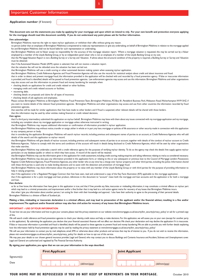| Important Customer Information                                                                                                                                                                                                                                                                       |  |
|------------------------------------------------------------------------------------------------------------------------------------------------------------------------------------------------------------------------------------------------------------------------------------------------------|--|
|                                                                                                                                                                                                                                                                                                      |  |
| Application number (if known):                                                                                                                                                                                                                                                                       |  |
| This document sets out the statements you make by applying for your mortgage and upon which we intend to rely. For your own benefit and protection everyone applying<br>for the mortgage should read this document carefully. If you do not understand any point please ask for further information. |  |

5

#### **I/we acknowledge:**

Birmingham Midshires reserves the right to reject my/our application, or withdraw their offer, without giving any reason.

no person (other than an employee of Birmingham Midshires) is empowered to make any representations or give any undertaking, on behalf of Birmingham Midshires in relation to the mortgage applied for, and Birmingham Midshires shall not be found liable for such representation or undertaking.

 that Birmingham Midshires and its Valuer accept no responsibility for the accuracy of the mortgage valuation report. Where a mortgage valuation is requested, this may be carried out by a Valuer employed by a member of the Lloyds Banking Group, or by an independent panel valuer who is not an employee of a member of the Lloyds Banking Group at my cost.

that the Mortgage Valuation Report is not a Building Survey or a Survey and Valuation. If advice about the structural condition of the property is required, a Building Survey or Survey and Valuation must be obtained.

that if the Automated Valuation Model (AVM) option is selected, I/we will not receive a valuation report.

that the valuation fee will not be refunded once the valuation has been carried out.

that Birmingham Midshires will use a credit scoring or other automated decision making system when assessing my/our application.

that Birmingham Midshires, Credit Reference Agencies and Fraud Prevention Agencies will also use the records for statistical analysis about credit and about insurance and fraud.

that in order to detect and prevent mortgage fraud, the information provided in the application will be checked with and recorded by a fraud prevention agency. If false or inaccurate information is provided, and fraud is identified, details will be passed to fraud prevention agencies. Law enforcement agencies may access and use this information. Birmingham Midshires and other organisations may also access and use this information to prevent fraud and money laundering, for example, when:

• checking details on applications for credit and credit related or other facilities;

• managing credit and credit related accounts or facilities;

• recovering debt:

• checking details on proposals and claims for all types of insurance;

• checking details of job applicants and employees.

Please contact Birmingham Midshires at Birmingham Midshires Fraud Prevention Team, Birmingham Midshires, PO Box 81, Pendeford Business Park,Wobaston Road,Wolverhampton WV9 5HZ, if you want to receive details of the relevant fraud prevention agencies. Birmingham Midshires and other organisations may access and use from other countries the information recorded by fraud prevention agencies.

that searches will be made for similar applications that I/we have made to other lenders and if fraud is suspected, other relevant details will be shared with those lenders.

that this information may be used by other entities making financial or credit related decisions.

#### **I/we agree:**

that if a third party intermediary submitted this application on my/our behalf, Birmingham Midshires may liaise with them about any issues connected with my mortgage application and my mortgage, including any complaint about my mortgage application or mortgage unless otherwise instructed in writing.

that Birmingham Midshires may request additional information or confirmation of information provided in my/our application.

that Birmingham Midshires may, without notice, transfer or assign, either in whole or in part, any loan, mortgage or policies of life assurance or other security made in connection with this application to any company, person or body.

 details of the search and this application to my/our record. that in considering the application Birmingham Midshires will search my/our records, including previous and subsequent names of parties to an account, at Credit Reference Agencies who will add

that Birmingham Midshires will give details of my/our account, including previous and subsequent names of parties to an account, together with details of the conduct of my/our account to Credit Reference Agencies. Failure to comply with the terms and conditions of the account will result in details being disclosed to Credit Reference Agencies, which will be seen by other organisations that make searches.

 that Birmingham Midshires may undertake a search with a credit reference agency for the purposes of verifying my/our identity. To do so the agency may check the details I/we supply against my/our particulars on any database (public or other) to which they have access. A record of the search will be retained.

that Birmingham Midshires may use the information given in this application for credit assessment, including credit scoring, making enquiries and taking references relating to me/us as considered necessary. that Birmingham Midshires may also pass any information provided in this application form, or relating to this or any subsequent or previous loan to the Council of Mortgage Lenders Possessions Register, Credit Reference Agencies, Fraud Prevention Agencies, any other lender who at any time has a charge over my/our property and other third parties, including the police. Information shared with these third parties is used only to make lending decisions and to assist with the detection and prevention of mortgage fraud.

that Birmingham Midshires may share information about the property or its value with any member of the Lloyds Banking Group or with third parties for the purpose of providing information to help in valuing properties.

that if this application is for a Regulated Mortgage Contract that I/we have seen, read and understood a copy of the Key Facts Illustration (KFI) applicable to this mortgage application. that if this application is for a joint mortgage and loan product, references in this document to "account" mean both the mortgage and loan accounts and the application is for both a mortgage and loan.

#### **I/we declare:**

as far as I/we know, the information I/we have given in this application is true, and that if I/we provide any false, inaccurate or misleading information, it may constitute a criminal offence on my/our part which may lead to a criminal prosecution, and imprisonment and/or a fine; further that it may lead to a civil action against me/us for recovery of any losses that Birmingham Midshires incurs.

that when I give you information about another person, I am acting for them with their knowledge and approval. I also have their authority to agree to the processing of their personal details. Birmingham Midshires is a division of Bank of Scotland plc.

Making a false, misleading or inaccurate declaration is a criminal offence, and may lead to prosecution of the applicant and/or the financial advisor, resulting in a fine and/or **imprisonment.The applicant and/or financial advisor may also face civil action for recovery of any losses that Birmingham Midshires incurs.** 

#### **IMPORTANT – USE OF YOUR INFORMATION**

To see how we use your information and how to give your consent, please read the privacy statement on our website www.bmmortgages.co.uk/security/bm\_security/privacy\_policy/ or ask for a printed copy of this.

We will search credit reference and fraud prevention agencies to check your identity, credit status and help us make decisions. For this application, we will assess you on your own (except for another party to this application). By submitting the application, you declare that your financial associate's finances will not affect our decision.We check your declaration and may decline the application if it is inaccurate. If false or inaccurate information is provided and fraud is identified, details will be passed to these agencies to prevent fraud and money laundering.We are able to provide you with further details explaining how the information held by fraud prevention agencies may be used by reading the privacy statement at www.bmmortgages.co.uk/security/bm\_security/privacy\_policy/

We will use your information to contact you by mail, telephone, email, SMS or otherwise about other products and services that may be of interest to you. If you do not wish to receive this information, please visit www.bmmortgages.co.uk/security/bm\_security/privacy\_policy/ for details on how to opt out of this service.

We may pass your details to our chosen general insurance provider, Legal and General, who may contact you to discuss Buildings and Contents Insurance and Accident, Sickness and Unemployment cover. Legal and General are authorised and regulated by The Financial Services Authority.

**By signing your application, you agree that we can use your information in the ways described.** 

|               | <b>First Applicant</b> | <b>Joint Applicant</b> |  |
|---------------|------------------------|------------------------|--|
| Signature(s): |                        |                        |  |
| Date          | (dd/mm/yyyy)           | (dd/mm/yyyy)           |  |

#### **YOUR HOME MAY BE REPOSSESSED IF YOU DO NOT KEEP UP REPAYMENTS ON YOUR MORTGAGE.** October 2010